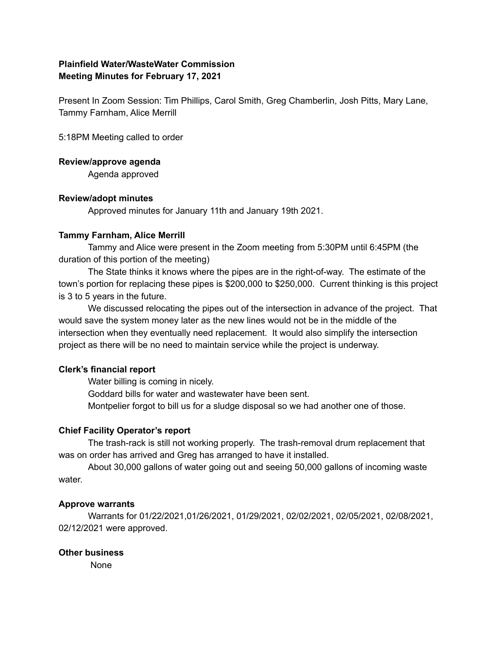# **Plainfield Water/WasteWater Commission Meeting Minutes for February 17, 2021**

Present In Zoom Session: Tim Phillips, Carol Smith, Greg Chamberlin, Josh Pitts, Mary Lane, Tammy Farnham, Alice Merrill

5:18PM Meeting called to order

### **Review/approve agenda**

Agenda approved

### **Review/adopt minutes**

Approved minutes for January 11th and January 19th 2021.

### **Tammy Farnham, Alice Merrill**

Tammy and Alice were present in the Zoom meeting from 5:30PM until 6:45PM (the duration of this portion of the meeting)

The State thinks it knows where the pipes are in the right-of-way. The estimate of the town's portion for replacing these pipes is \$200,000 to \$250,000. Current thinking is this project is 3 to 5 years in the future.

We discussed relocating the pipes out of the intersection in advance of the project. That would save the system money later as the new lines would not be in the middle of the intersection when they eventually need replacement. It would also simplify the intersection project as there will be no need to maintain service while the project is underway.

## **Clerk's financial report**

Water billing is coming in nicely.

Goddard bills for water and wastewater have been sent.

Montpelier forgot to bill us for a sludge disposal so we had another one of those.

## **Chief Facility Operator's report**

The trash-rack is still not working properly. The trash-removal drum replacement that was on order has arrived and Greg has arranged to have it installed.

About 30,000 gallons of water going out and seeing 50,000 gallons of incoming waste water.

#### **Approve warrants**

Warrants for 01/22/2021,01/26/2021, 01/29/2021, 02/02/2021, 02/05/2021, 02/08/2021, 02/12/2021 were approved.

## **Other business**

None